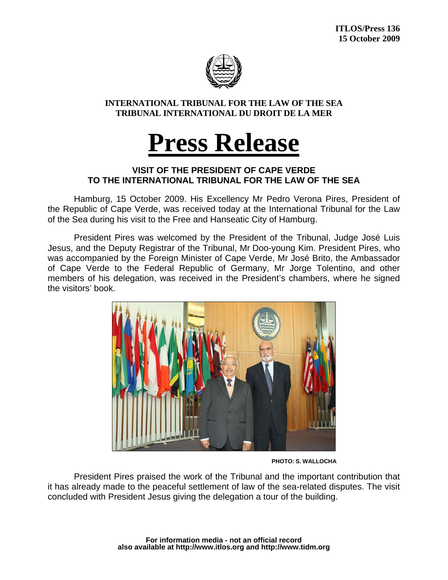

**INTERNATIONAL TRIBUNAL FOR THE LAW OF THE SEA TRIBUNAL INTERNATIONAL DU DROIT DE LA MER** 

## **Press Release**

## **VISIT OF THE PRESIDENT OF CAPE VERDE TO THE INTERNATIONAL TRIBUNAL FOR THE LAW OF THE SEA**

 Hamburg, 15 October 2009. His Excellency Mr Pedro Verona Pires, President of the Republic of Cape Verde, was received today at the International Tribunal for the Law of the Sea during his visit to the Free and Hanseatic City of Hamburg.

 President Pires was welcomed by the President of the Tribunal, Judge José Luis Jesus, and the Deputy Registrar of the Tribunal, Mr Doo-young Kim. President Pires, who was accompanied by the Foreign Minister of Cape Verde, Mr José Brito, the Ambassador of Cape Verde to the Federal Republic of Germany, Mr Jorge Tolentino, and other members of his delegation, was received in the President's chambers, where he signed the visitors' book.



 **PHOTO: S. WALLOCHA** 

 President Pires praised the work of the Tribunal and the important contribution that it has already made to the peaceful settlement of law of the sea-related disputes. The visit concluded with President Jesus giving the delegation a tour of the building.